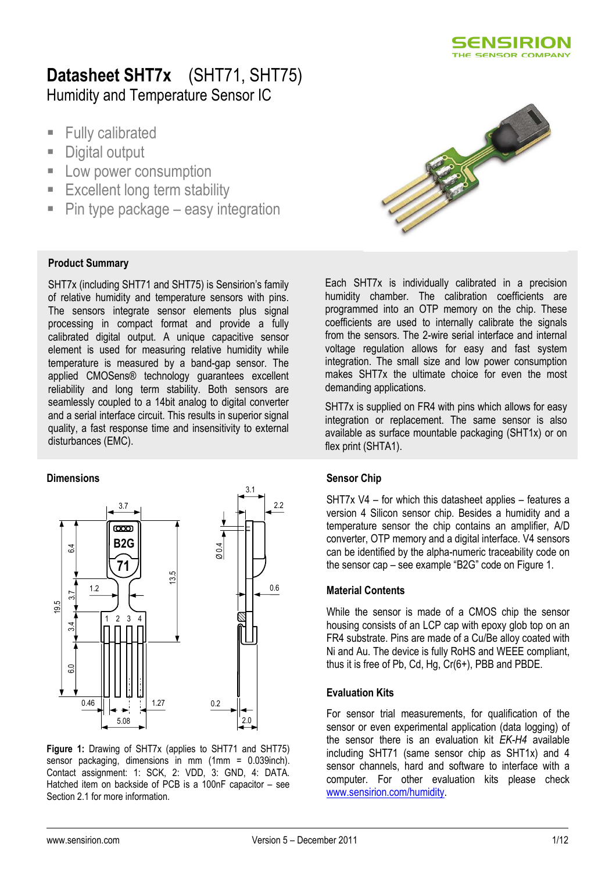

# **Datasheet SHT7x** (SHT71, SHT75) Humidity and Temperature Sensor IC

- Fully calibrated
- Digital output
- **Low power consumption**
- Excellent long term stability
- $\blacksquare$  Pin type package easy integration

### **Product Summary**

SHT7x (including SHT71 and SHT75) is Sensirion's family of relative humidity and temperature sensors with pins. The sensors integrate sensor elements plus signal processing in compact format and provide a fully calibrated digital output. A unique capacitive sensor element is used for measuring relative humidity while temperature is measured by a band-gap sensor. The applied CMOSens® technology guarantees excellent reliability and long term stability. Both sensors are seamlessly coupled to a 14bit analog to digital converter and a serial interface circuit. This results in superior signal quality, a fast response time and insensitivity to external disturbances (EMC).

#### **Dimensions**



**Figure 1:** Drawing of SHT7x (applies to SHT71 and SHT75) sensor packaging, dimensions in mm (1mm = 0.039inch). Contact assignment: 1: SCK, 2: VDD, 3: GND, 4: DATA. Hatched item on backside of PCB is a 100nF capacitor – see Section 2.1 for more information.



Each SHT7x is individually calibrated in a precision humidity chamber. The calibration coefficients are programmed into an OTP memory on the chip. These coefficients are used to internally calibrate the signals from the sensors. The 2-wire serial interface and internal voltage regulation allows for easy and fast system integration. The small size and low power consumption makes SHT7x the ultimate choice for even the most demanding applications.

SHT7x is supplied on FR4 with pins which allows for easy integration or replacement. The same sensor is also available as surface mountable packaging (SHT1x) or on flex print (SHTA1).

### **Sensor Chip**

SHT7x V4 – for which this datasheet applies – features a version 4 Silicon sensor chip. Besides a humidity and a temperature sensor the chip contains an amplifier, A/D converter, OTP memory and a digital interface. V4 sensors can be identified by the alpha-numeric traceability code on the sensor cap – see example "B2G" code on Figure 1.

### **Material Contents**

While the sensor is made of a CMOS chip the sensor housing consists of an LCP cap with epoxy glob top on an FR4 substrate. Pins are made of a Cu/Be alloy coated with Ni and Au. The device is fully RoHS and WEEE compliant, thus it is free of Pb, Cd, Hg, Cr(6+), PBB and PBDE.

### **Evaluation Kits**

For sensor trial measurements, for qualification of the sensor or even experimental application (data logging) of the sensor there is an evaluation kit *EK-H4* available including SHT71 (same sensor chip as SHT1x) and 4 sensor channels, hard and software to interface with a computer. For other evaluation kits please check www.sensirion.com/humidity.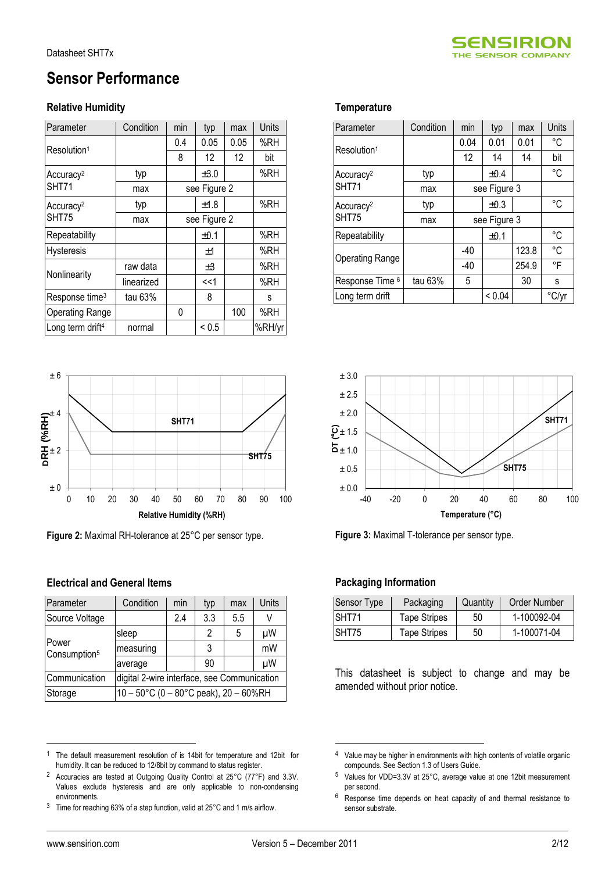

# **Sensor Performance**

### **Relative Humidity**

| Parameter                    | Condition  | min          | typ                 | max  | <b>Units</b> |
|------------------------------|------------|--------------|---------------------|------|--------------|
|                              |            | 0.4          | 0.05                | 0.05 | %RH          |
| Resolution <sup>1</sup>      |            | 8            | 12                  | 12   | bit          |
| Accuracy <sup>2</sup>        | typ        |              | $\pm 3.0$           |      | %RH          |
| SHT71                        | max        |              | see Figure 2        |      |              |
| Accuracy <sup>2</sup>        | typ        |              | ±1.8                |      |              |
| SHT75                        | max        | see Figure 2 |                     |      |              |
| Repeatability                |            |              | ±0.1                |      | %RH          |
| Hysteresis                   |            |              | ±1                  |      | %RH          |
|                              | raw data   |              | ±3                  |      | %RH          |
| Nonlinearity                 | linearized |              | <<1                 |      | %RH          |
| Response time <sup>3</sup>   | tau 63%    |              | 8                   |      | s            |
| <b>Operating Range</b>       |            | 0            |                     | 100  | %RH          |
| Long term drift <sup>4</sup> | normal     |              | ${}^{5}$ ${}^{0.5}$ |      | %RH/vr       |



**Figure 2:** Maximal RH-tolerance at 25°C per sensor type.

#### **Electrical and General Items**

| Parameter                                                    | Condition                                       | min | typ | max | Units |
|--------------------------------------------------------------|-------------------------------------------------|-----|-----|-----|-------|
| Source Voltage                                               |                                                 | 2.4 | 3.3 | 5.5 |       |
|                                                              | sleep                                           |     | 2   | 5   | μW    |
| Power<br>Consumption <sup>5</sup>                            | measuring                                       |     | 3   |     | mW    |
|                                                              | average                                         |     | 90  |     | μW    |
| digital 2-wire interface, see Communication<br>Communication |                                                 |     |     |     |       |
| Storage                                                      | $10 - 50^{\circ}$ C (0 - 80°C peak), 20 - 60%RH |     |     |     |       |

#### **Temperature**

| Parameter                  | Condition | min          | typ          | max   | <b>Units</b> |
|----------------------------|-----------|--------------|--------------|-------|--------------|
| Resolution <sup>1</sup>    |           | 0.04         | 0.01         | 0.01  | °C           |
|                            |           | 12           | 14           | 14    | bit          |
| Accuracy <sup>2</sup>      | typ       |              | $\pm 0.4$    |       | °C           |
| SHT71                      | max       |              | see Figure 3 |       |              |
| Accuracy <sup>2</sup>      | typ       |              | ±0.3         |       | °C           |
| SHT75                      | max       | see Figure 3 |              |       |              |
| Repeatability              |           |              | ±0.1         |       | °C           |
|                            |           | -40          |              | 123.8 | °C           |
| <b>Operating Range</b>     |           | $-40$        |              | 254.9 | °F           |
| Response Time <sup>6</sup> | tau 63%   | 5            |              | 30    | s            |
| Long term drift            |           |              | ${}_{0.04}$  |       | °C/yr        |



**Figure 3:** Maximal T-tolerance per sensor type.

#### **Packaging Information**

| Sensor Type  | Packaging           | Quantity | Order Number |
|--------------|---------------------|----------|--------------|
| <b>SHT71</b> | <b>Tape Stripes</b> | 50       | 1-100092-04  |
| <b>SHT75</b> | <b>Tape Stripes</b> | 50       | 1-100071-04  |

This datasheet is subject to change and may be amended without prior notice.

 $\overline{a}$ 

<sup>1</sup> The default measurement resolution of is 14bit for temperature and 12bit for humidity. It can be reduced to 12/8bit by command to status register.

<sup>&</sup>lt;sup>2</sup> Accuracies are tested at Outgoing Quality Control at  $25^{\circ}$ C (77°F) and 3.3V. Values exclude hysteresis and are only applicable to non-condensing environments.

 $3$  Time for reaching 63% of a step function, valid at 25°C and 1 m/s airflow.

<sup>4</sup> Value may be higher in environments with high contents of volatile organic compounds. See Section 1.3 of Users Guide.

<sup>&</sup>lt;sup>5</sup> Values for VDD=3.3V at 25°C, average value at one 12bit measurement per second.

<sup>6</sup> Response time depends on heat capacity of and thermal resistance to sensor substrate.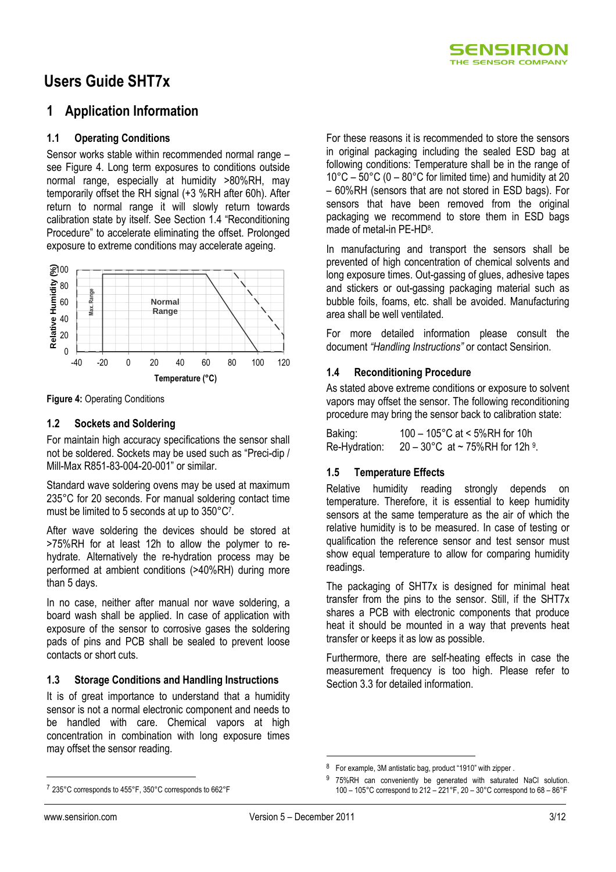

# **Users Guide SHT7x**

## **1 Application Information**

### **1.1 Operating Conditions**

Sensor works stable within recommended normal range – see Figure 4. Long term exposures to conditions outside normal range, especially at humidity >80%RH, may temporarily offset the RH signal (+3 %RH after 60h). After return to normal range it will slowly return towards calibration state by itself. See Section 1.4 "Reconditioning Procedure" to accelerate eliminating the offset. Prolonged exposure to extreme conditions may accelerate ageing.



**Figure 4:** Operating Conditions

### **1.2 Sockets and Soldering**

For maintain high accuracy specifications the sensor shall not be soldered. Sockets may be used such as "Preci-dip / Mill-Max R851-83-004-20-001" or similar.

Standard wave soldering ovens may be used at maximum 235°C for 20 seconds. For manual soldering contact time must be limited to 5 seconds at up to 350°C<sup>7</sup> .

After wave soldering the devices should be stored at >75%RH for at least 12h to allow the polymer to rehydrate. Alternatively the re-hydration process may be performed at ambient conditions (>40%RH) during more than 5 days.

In no case, neither after manual nor wave soldering, a board wash shall be applied. In case of application with exposure of the sensor to corrosive gases the soldering pads of pins and PCB shall be sealed to prevent loose contacts or short cuts.

### **1.3 Storage Conditions and Handling Instructions**

It is of great importance to understand that a humidity sensor is not a normal electronic component and needs to be handled with care. Chemical vapors at high concentration in combination with long exposure times may offset the sensor reading.

For these reasons it is recommended to store the sensors in original packaging including the sealed ESD bag at following conditions: Temperature shall be in the range of 10°C – 50°C (0 – 80°C for limited time) and humidity at 20 – 60%RH (sensors that are not stored in ESD bags). For sensors that have been removed from the original packaging we recommend to store them in ESD bags made of metal-in PE-HD<sup>8</sup>.

In manufacturing and transport the sensors shall be prevented of high concentration of chemical solvents and long exposure times. Out-gassing of glues, adhesive tapes and stickers or out-gassing packaging material such as bubble foils, foams, etc. shall be avoided. Manufacturing area shall be well ventilated.

For more detailed information please consult the document *"Handling Instructions"* or contact Sensirion.

### **1.4 Reconditioning Procedure**

As stated above extreme conditions or exposure to solvent vapors may offset the sensor. The following reconditioning procedure may bring the sensor back to calibration state:

| Baking:       | 100 – 105 °C at < 5% RH for 10h             |
|---------------|---------------------------------------------|
| Re-Hydration: | 20 – 30°C at ~ 75%RH for 12h <sup>9</sup> . |

### **1.5 Temperature Effects**

Relative humidity reading strongly depends on temperature. Therefore, it is essential to keep humidity sensors at the same temperature as the air of which the relative humidity is to be measured. In case of testing or qualification the reference sensor and test sensor must show equal temperature to allow for comparing humidity readings.

The packaging of SHT7x is designed for minimal heat transfer from the pins to the sensor. Still, if the SHT7x shares a PCB with electronic components that produce heat it should be mounted in a way that prevents heat transfer or keeps it as low as possible.

Furthermore, there are self-heating effects in case the measurement frequency is too high. Please refer to Section 3.3 for detailed information.

 $\overline{a}$ 

<sup>&</sup>lt;sup>8</sup> For example, 3M antistatic bag, product "1910" with zipper.

<sup>&</sup>lt;sup>9</sup> 75%RH can conveniently be generated with saturated NaCl solution. 100 – 105°C correspond to 212 – 221°F, 20 – 30°C correspond to 68 – 86°F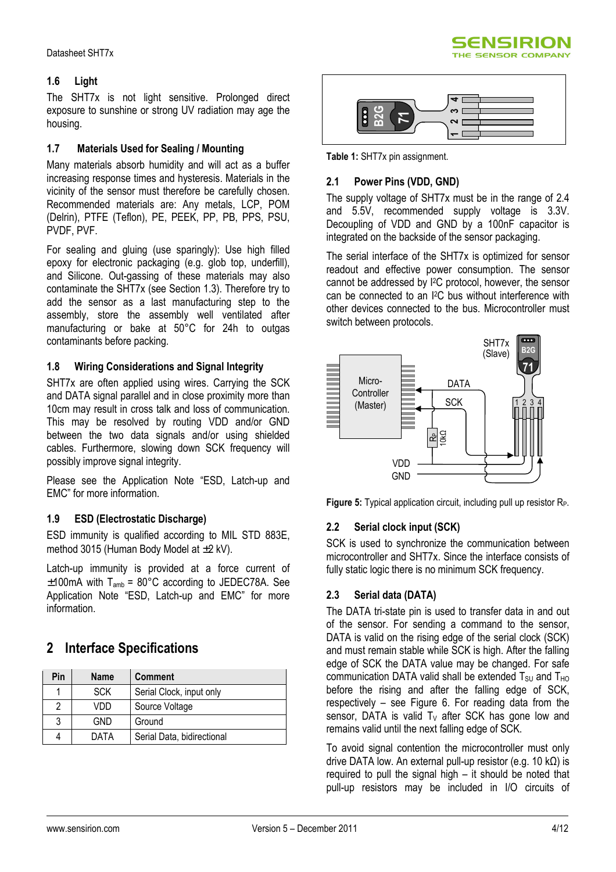### **1.6 Light**

The SHT7x is not light sensitive. Prolonged direct exposure to sunshine or strong UV radiation may age the housing.

### **1.7 Materials Used for Sealing / Mounting**

Many materials absorb humidity and will act as a buffer increasing response times and hysteresis. Materials in the vicinity of the sensor must therefore be carefully chosen. Recommended materials are: Any metals, LCP, POM (Delrin), PTFE (Teflon), PE, PEEK, PP, PB, PPS, PSU, PVDF, PVF.

For sealing and gluing (use sparingly): Use high filled epoxy for electronic packaging (e.g. glob top, underfill), and Silicone. Out-gassing of these materials may also contaminate the SHT7x (see Section 1.3). Therefore try to add the sensor as a last manufacturing step to the assembly, store the assembly well ventilated after manufacturing or bake at 50°C for 24h to outgas contaminants before packing.

### **1.8 Wiring Considerations and Signal Integrity**

SHT7x are often applied using wires. Carrying the SCK and DATA signal parallel and in close proximity more than 10cm may result in cross talk and loss of communication. This may be resolved by routing VDD and/or GND between the two data signals and/or using shielded cables. Furthermore, slowing down SCK frequency will possibly improve signal integrity.

Please see the Application Note "ESD, Latch-up and EMC" for more information.

### **1.9 ESD (Electrostatic Discharge)**

ESD immunity is qualified according to MIL STD 883E, method 3015 (Human Body Model at ±2 kV).

Latch-up immunity is provided at a force current of  $±100$ mA with T<sub>amb</sub> = 80°C according to JEDEC78A. See Application Note "ESD, Latch-up and EMC" for more information.

## **2 Interface Specifications**

| Pin | <b>Name</b> | <b>Comment</b>             |  |  |
|-----|-------------|----------------------------|--|--|
|     | <b>SCK</b>  | Serial Clock, input only   |  |  |
| 2   | VDD         | Source Voltage             |  |  |
| 3   | <b>GND</b>  | Ground                     |  |  |
|     | DATA        | Serial Data, bidirectional |  |  |



**SENSIRION** THE SENSOR COMPANY

**Table 1:** SHT7x pin assignment.

### **2.1 Power Pins (VDD, GND)**

The supply voltage of SHT7x must be in the range of 2.4 and 5.5V, recommended supply voltage is 3.3V. Decoupling of VDD and GND by a 100nF capacitor is integrated on the backside of the sensor packaging.

The serial interface of the SHT7x is optimized for sensor readout and effective power consumption. The sensor cannot be addressed by I2C protocol, however, the sensor can be connected to an I2C bus without interference with other devices connected to the bus. Microcontroller must switch between protocols.



**Figure 5:** Typical application circuit, including pull up resistor RP.

### **2.2 Serial clock input (SCK)**

SCK is used to synchronize the communication between microcontroller and SHT7x. Since the interface consists of fully static logic there is no minimum SCK frequency.

### **2.3 Serial data (DATA)**

The DATA tri-state pin is used to transfer data in and out of the sensor. For sending a command to the sensor, DATA is valid on the rising edge of the serial clock (SCK) and must remain stable while SCK is high. After the falling edge of SCK the DATA value may be changed. For safe communication DATA valid shall be extended  $T_{SI}$  and  $T_{HO}$ before the rising and after the falling edge of SCK, respectively – see Figure 6. For reading data from the sensor, DATA is valid  $T_V$  after SCK has gone low and remains valid until the next falling edge of SCK.

To avoid signal contention the microcontroller must only drive DATA low. An external pull-up resistor (e.g. 10 kΩ) is required to pull the signal high – it should be noted that pull-up resistors may be included in I/O circuits of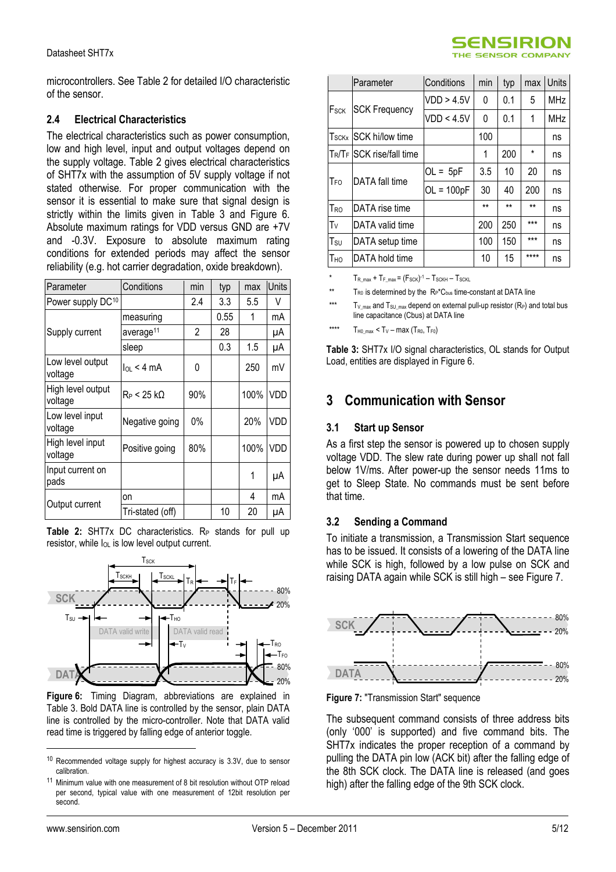microcontrollers. See Table 2 for detailed I/O characteristic of the sensor.

### **2.4 Electrical Characteristics**

The electrical characteristics such as power consumption, low and high level, input and output voltages depend on the supply voltage. Table 2 gives electrical characteristics of SHT7x with the assumption of 5V supply voltage if not stated otherwise. For proper communication with the sensor it is essential to make sure that signal design is strictly within the limits given in Table 3 and Figure 6. Absolute maximum ratings for VDD versus GND are +7V and -0.3V. Exposure to absolute maximum rating conditions for extended periods may affect the sensor reliability (e.g. hot carrier degradation, oxide breakdown).

| Parameter                    | Conditions            | min   | typ  | max  | Units |
|------------------------------|-----------------------|-------|------|------|-------|
| Power supply DC10            |                       | 2.4   | 3.3  | 5.5  | V     |
|                              | measuring             |       | 0.55 | 1    | mA    |
| Supply current               | average <sup>11</sup> | 2     | 28   |      | μA    |
|                              | sleep                 |       | 0.3  | 1.5  | μA    |
| Low level output<br>voltage  | $\ln 4 \text{ mA}$    | 0     |      | 250  | mV    |
| High level output<br>voltage | $R_P < 25 k\Omega$    | 90%   |      | 100% | VDD   |
| Low level input<br>voltage   | Negative going        | $0\%$ |      | 20%  | VDD   |
| High level input<br>voltage  | Positive going        | 80%   |      | 100% | VDD   |
| Input current on<br>pads     |                       |       |      | 1    | μA    |
|                              | on                    |       |      | 4    | mA    |
| Output current               | Tri-stated (off)      |       | 10   | 20   | μA    |

Table 2: SHT7x DC characteristics. R<sub>P</sub> stands for pull up resistor, while IOL is low level output current.



**Figure 6:** Timing Diagram, abbreviations are explained in Table 3. Bold DATA line is controlled by the sensor, plain DATA line is controlled by the micro-controller. Note that DATA valid read time is triggered by falling edge of anterior toggle.

### Parameter  $\vert$  Conditions  $\vert$  min  $\vert$  typ  $\vert$  max Units F<sub>SCK</sub> SCK Frequency  $VDD > 4.5V$  0 0.1 5 MHz VDD < 4.5V 0 0.1 1 MHz  $T_{\rm SCKx}$  SCK hi/low time  $\parallel$  100  $\parallel$  100  $\parallel$  ns  $T_{\mathsf{R}}/T_{\mathsf{F}}$  SCK rise/fall time  $\begin{array}{|c|c|c|c|}\n1 & 200 & * & ns\n\end{array}$  $T_{FO}$  DATA fall time  $OL = 5pF$   $3.5$  10 20 ns  $OL = 100pF | 30 | 40 | 200 | ns$ TRO DATA rise time \*\* \*\* \*\* ns  $T_v$  DATA valid time  $\vert$  200 250  $\vert$  \*\*\*  $\vert$  ns  $T_{\text{SU}}$  DATA setup time  $100$  150  $\text{***}$  ns  $T_{\text{HO}}$  DATA hold time  $\begin{array}{|c|c|c|c|c|c|}\n\hline\n10 & 15 & **** & ns\n\end{array}$

SENSIRION THE SENSOR COMPANY

\*  $T_{R\_max}$  +  $T_{F\_max}$  =  $(F_{SCK})$ -1  $T_{SCKH}$   $T_{SCKL}$ 

\*\*  $T_{R0}$  is determined by the  $R_P$ <sup>\*</sup>C<sub>bus</sub> time-constant at DATA line

\*\*\*  $\Gamma$ <sub>V</sub><sub>max</sub> and  $T$ <sub>SU</sub><sub>max</sub> depend on external pull-up resistor (R<sub>P</sub>) and total bus line capacitance (Cbus) at DATA line

\*\*\*\*  $T_{H0 \text{ max}} < T_V - \text{max} (T_{R0}, T_{F0})$ 

**Table 3:** SHT7x I/O signal characteristics, OL stands for Output Load, entities are displayed in Figure 6.

## **3 Communication with Sensor**

### **3.1 Start up Sensor**

As a first step the sensor is powered up to chosen supply voltage VDD. The slew rate during power up shall not fall below 1V/ms. After power-up the sensor needs 11ms to get to Sleep State. No commands must be sent before that time.

### **3.2 Sending a Command**

To initiate a transmission, a Transmission Start sequence has to be issued. It consists of a lowering of the DATA line while SCK is high, followed by a low pulse on SCK and raising DATA again while SCK is still high – see Figure 7.



**Figure 7:** "Transmission Start" sequence

The subsequent command consists of three address bits (only '000' is supported) and five command bits. The SHT7x indicates the proper reception of a command by pulling the DATA pin low (ACK bit) after the falling edge of the 8th SCK clock. The DATA line is released (and goes high) after the falling edge of the 9th SCK clock.

<sup>&</sup>lt;sup>10</sup> Recommended voltage supply for highest accuracy is 3.3V, due to sensor calibration.

<sup>11</sup> Minimum value with one measurement of 8 bit resolution without OTP reload per second, typical value with one measurement of 12bit resolution per second.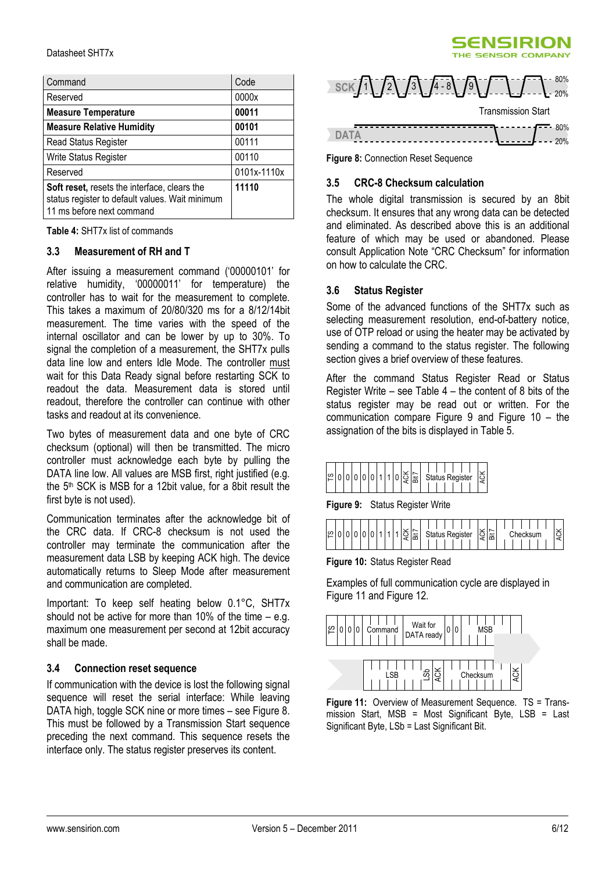Datasheet SHT7x

| Command                                                                                                                             | Code        |
|-------------------------------------------------------------------------------------------------------------------------------------|-------------|
| Reserved                                                                                                                            | 0000x       |
| <b>Measure Temperature</b>                                                                                                          | 00011       |
| <b>Measure Relative Humidity</b>                                                                                                    | 00101       |
| <b>Read Status Register</b>                                                                                                         | 00111       |
| Write Status Register                                                                                                               | 00110       |
| Reserved                                                                                                                            | 0101x-1110x |
| <b>Soft reset, resets the interface, clears the</b><br>status register to default values. Wait minimum<br>11 ms before next command | 11110       |

**Table 4:** SHT7x list of commands

### **3.3 Measurement of RH and T**

After issuing a measurement command ('00000101' for relative humidity, '00000011' for temperature) the controller has to wait for the measurement to complete. This takes a maximum of 20/80/320 ms for a 8/12/14bit measurement. The time varies with the speed of the internal oscillator and can be lower by up to 30%. To signal the completion of a measurement, the SHT7x pulls data line low and enters Idle Mode. The controller must wait for this Data Ready signal before restarting SCK to readout the data. Measurement data is stored until readout, therefore the controller can continue with other tasks and readout at its convenience.

Two bytes of measurement data and one byte of CRC checksum (optional) will then be transmitted. The micro controller must acknowledge each byte by pulling the DATA line low. All values are MSB first, right justified (e.g. the 5<sup>th</sup> SCK is MSB for a 12bit value, for a 8bit result the first byte is not used).

Communication terminates after the acknowledge bit of the CRC data. If CRC-8 checksum is not used the controller may terminate the communication after the measurement data LSB by keeping ACK high. The device automatically returns to Sleep Mode after measurement and communication are completed.

Important: To keep self heating below 0.1°C, SHT7x should not be active for more than 10% of the time – e.g. maximum one measurement per second at 12bit accuracy shall be made.

### **3.4 Connection reset sequence**

If communication with the device is lost the following signal sequence will reset the serial interface: While leaving DATA high, toggle SCK nine or more times – see Figure 8. This must be followed by a Transmission Start sequence preceding the next command. This sequence resets the interface only. The status register preserves its content.



**SENSIRION** THE SENSOR COMPANY

**Figure 8: Connection Reset Sequence** 

### **3.5 CRC-8 Checksum calculation**

The whole digital transmission is secured by an 8bit checksum. It ensures that any wrong data can be detected and eliminated. As described above this is an additional feature of which may be used or abandoned. Please consult Application Note "CRC Checksum" for information on how to calculate the CRC.

### **3.6 Status Register**

Some of the advanced functions of the SHT7x such as selecting measurement resolution, end-of-battery notice, use of OTP reload or using the heater may be activated by sending a command to the status register. The following section gives a brief overview of these features.

After the command Status Register Read or Status Register Write – see Table 4 – the content of 8 bits of the status register may be read out or written. For the communication compare Figure 9 and Figure 10 – the assignation of the bits is displayed in Table 5.



**Figure 9:** Status Register Write



**Figure 10:** Status Register Read

Examples of full communication cycle are displayed in Figure 11 and Figure 12.



**Figure 11:** Overview of Measurement Sequence. TS = Transmission Start, MSB = Most Significant Byte, LSB = Last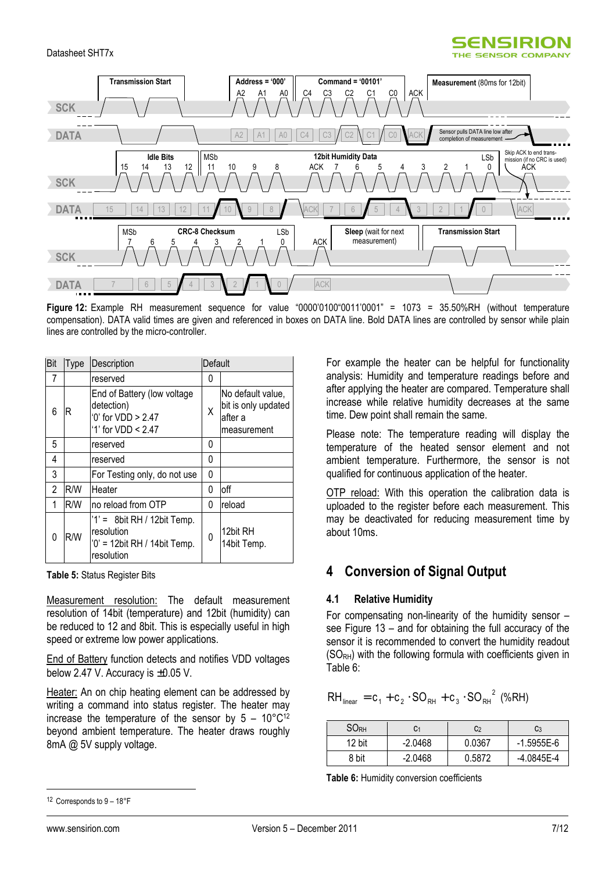#### **SENSIRION** THE SENSOR COMPANY



**Figure 12:** Example RH measurement sequence for value "0000'0100"0011'0001" = 1073 = 35.50%RH (without temperature compensation). DATA valid times are given and referenced in boxes on DATA line. Bold DATA lines are controlled by sensor while plain lines are controlled by the micro-controller.

| Bit | <b>Type</b> | Description                                                                                 | Default |                                                                    |
|-----|-------------|---------------------------------------------------------------------------------------------|---------|--------------------------------------------------------------------|
| 7   |             | reserved                                                                                    | 0       |                                                                    |
| 6   | R           | End of Battery (low voltage<br>detection)<br>$0'$ for VDD > 2.47<br>'1' for $VDD < 2.47$    | X       | No default value,<br>bit is only updated<br>after a<br>measurement |
| 5   |             | reserved                                                                                    | 0       |                                                                    |
| 4   |             | reserved                                                                                    | U       |                                                                    |
| 3   |             | For Testing only, do not use                                                                | 0       |                                                                    |
| 2   | R/W         | Heater                                                                                      | 0       | off                                                                |
| 1   | R/W         | no reload from OTP                                                                          | 0       | reload                                                             |
| U   | R/W         | $1' = 8$ bit RH / 12bit Temp.<br>resolution<br>$'0'$ = 12bit RH / 14bit Temp.<br>resolution | 0       | 12bit RH<br>14bit Temp.                                            |

**Table 5: Status Register Bits** 

Measurement resolution: The default measurement resolution of 14bit (temperature) and 12bit (humidity) can be reduced to 12 and 8bit. This is especially useful in high speed or extreme low power applications.

End of Battery function detects and notifies VDD voltages below 2.47 V. Accuracy is ±0.05 V.

Heater: An on chip heating element can be addressed by writing a command into status register. The heater may increase the temperature of the sensor by  $5 - 10^{\circ}C^{12}$ beyond ambient temperature. The heater draws roughly 8mA @ 5V supply voltage.

For example the heater can be helpful for functionality analysis: Humidity and temperature readings before and after applying the heater are compared. Temperature shall increase while relative humidity decreases at the same time. Dew point shall remain the same.

Please note: The temperature reading will display the temperature of the heated sensor element and not ambient temperature. Furthermore, the sensor is not qualified for continuous application of the heater.

OTP reload: With this operation the calibration data is uploaded to the register before each measurement. This may be deactivated for reducing measurement time by about 10ms.

# **4 Conversion of Signal Output**

### **4.1 Relative Humidity**

For compensating non-linearity of the humidity sensor – see Figure 13 – and for obtaining the full accuracy of the sensor it is recommended to convert the humidity readout  $(SO<sub>RH</sub>)$  with the following formula with coefficients given in Table 6:

$$
RH_{\text{linear}} = c_1 + c_2 \cdot SO_{RH} + c_3 \cdot SO_{RH}^2 \text{ (%RH)}
$$

| <b>SORH</b> | C1        | C <sub>2</sub> | C <sub>3</sub> |
|-------------|-----------|----------------|----------------|
| 12 bit      | $-2.0468$ | 0.0367         | -1.5955E-6     |
| 8 bit       | $-2.0468$ | 0.5872         | -4.0845E-4     |

**Table 6:** Humidity conversion coefficients

 $\overline{a}$ 12 Corresponds to 9 – 18°F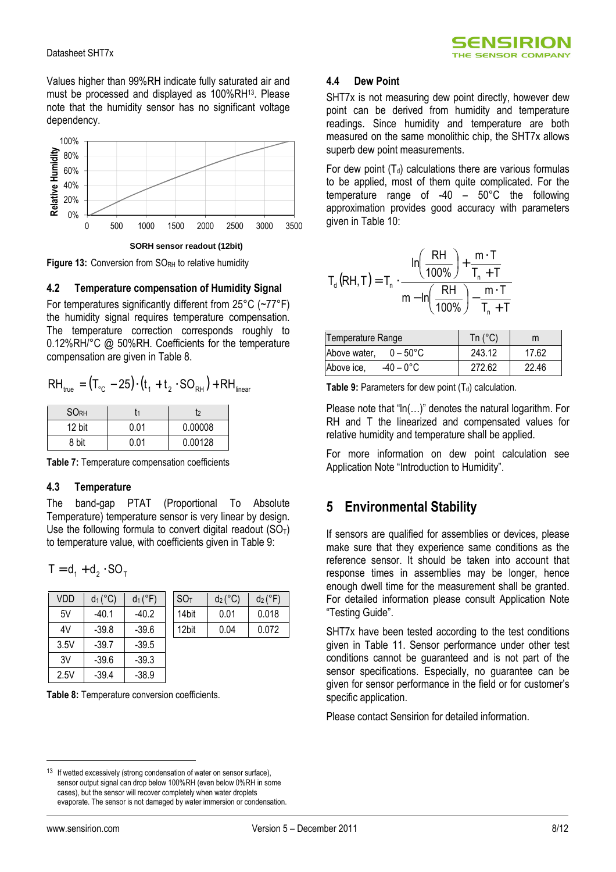Values higher than 99%RH indicate fully saturated air and must be processed and displayed as 100%RH13. Please note that the humidity sensor has no significant voltage dependency.



Figure 13: Conversion from SO<sub>RH</sub> to relative humidity

### **4.2 Temperature compensation of Humidity Signal**

For temperatures significantly different from 25°C (~77°F) the humidity signal requires temperature compensation. The temperature correction corresponds roughly to 0.12%RH/°C @ 50%RH. Coefficients for the temperature compensation are given in Table 8.

$$
\text{RH}_{\text{true}} = (\text{T}_{\text{C}} - 25) \cdot (t_1 + t_2 \cdot \text{SO}_{\text{RH}}) + \text{RH}_{\text{linear}}
$$

| <b>SORH</b> |      | I2      |  |  |
|-------------|------|---------|--|--|
| 12 bit      | 0.01 | 0.00008 |  |  |
| 8 bit       | 0.01 | 0.00128 |  |  |

**Table 7:** Temperature compensation coefficients

#### **4.3 Temperature**

The band-gap PTAT (Proportional To Absolute Temperature) temperature sensor is very linear by design. Use the following formula to convert digital readout  $(SO<sub>T</sub>)$ to temperature value, with coefficients given in Table 9:

 $T = d_1 + d_2 \cdot SO_\tau$ 

| <b>VDD</b> | $d_1$ (°C) | $d_1$ (°F) | SO <sub>T</sub> | $d_2$ (°C) | $d_2$ ( $\degree$ F) |
|------------|------------|------------|-----------------|------------|----------------------|
| 5V         | $-40.1$    | $-40.2$    | 14bit           | 0.01       | 0.018                |
| 4V         | $-39.8$    | $-39.6$    | 12bit           | 0.04       | 0.072                |
| 3.5V       | $-39.7$    | $-39.5$    |                 |            |                      |
| 3V         | $-39.6$    | $-39.3$    |                 |            |                      |
| 2.5V       | $-39.4$    | $-38.9$    |                 |            |                      |

**Table 8:** Temperature conversion coefficients.

### **4.4 Dew Point**

SHT7x is not measuring dew point directly, however dew point can be derived from humidity and temperature readings. Since humidity and temperature are both measured on the same monolithic chip, the SHT7x allows superb dew point measurements.

For dew point  $(T_d)$  calculations there are various formulas to be applied, most of them quite complicated. For the temperature range of  $-40 - 50^{\circ}$ C the following approximation provides good accuracy with parameters given in Table 10:

| $T_a(RH,T) = T_a \cdot$ — | $\ln\left(\frac{RH}{100\%}\right) + \frac{m \cdot T}{T_n + T}$               |
|---------------------------|------------------------------------------------------------------------------|
|                           | $\overline{m - ln\left(\frac{RH}{100\%}\right) - \frac{m \cdot T}{T_n + T}}$ |

| Temperature Range                  | Tn $(^{\circ}C)$ | m     |
|------------------------------------|------------------|-------|
| Above water,<br>$0 - 50^{\circ}$ C | 243.12           | 17.62 |
| Above ice,<br>$-40-0\degree C$     | 272.62           | 22.46 |

**Table 9:** Parameters for dew point  $(T_d)$  calculation.

Please note that "ln(…)" denotes the natural logarithm. For RH and T the linearized and compensated values for relative humidity and temperature shall be applied.

For more information on dew point calculation see Application Note "Introduction to Humidity".

## **5 Environmental Stability**

If sensors are qualified for assemblies or devices, please make sure that they experience same conditions as the reference sensor. It should be taken into account that response times in assemblies may be longer, hence enough dwell time for the measurement shall be granted. For detailed information please consult Application Note "Testing Guide".

SHT7x have been tested according to the test conditions given in Table 11. Sensor performance under other test conditions cannot be guaranteed and is not part of the sensor specifications. Especially, no guarantee can be given for sensor performance in the field or for customer's specific application.

Please contact Sensirion for detailed information.

<sup>&</sup>lt;sup>13</sup> If wetted excessively (strong condensation of water on sensor surface), sensor output signal can drop below 100%RH (even below 0%RH in some cases), but the sensor will recover completely when water droplets evaporate. The sensor is not damaged by water immersion or condensation.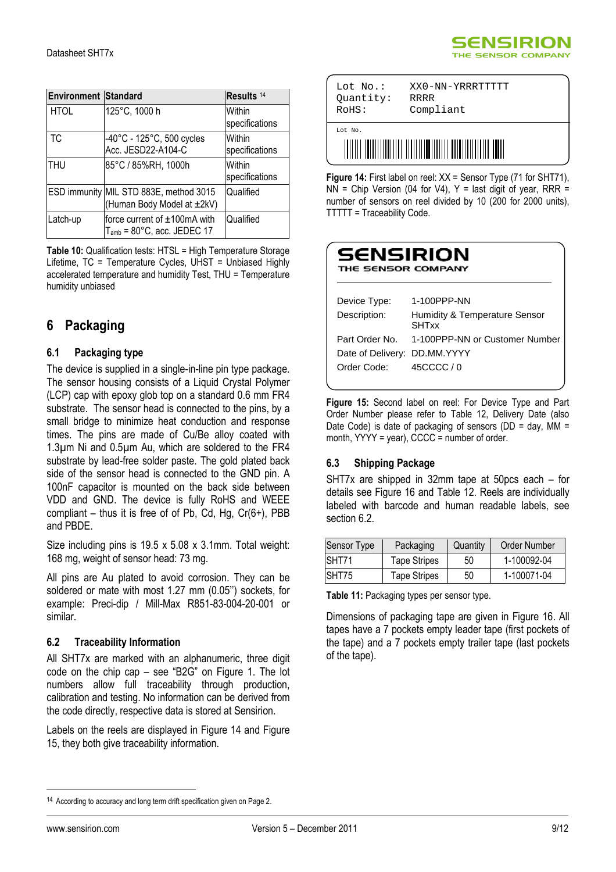| <b>Environment Standard</b> |                                                                                  | Results <sup>14</sup>    |
|-----------------------------|----------------------------------------------------------------------------------|--------------------------|
| <b>HTOL</b>                 | 125°C, 1000 h                                                                    | Within<br>specifications |
| TC.                         | $-40^{\circ}$ C - 125 $^{\circ}$ C, 500 cycles<br>Acc. JESD22-A104-C             | Within<br>specifications |
| <b>THU</b>                  | 85°C / 85%RH, 1000h                                                              | Within<br>specifications |
|                             | ESD immunity MIL STD 883E, method 3015<br>(Human Body Model at ±2kV)             | Qualified                |
| Latch-up                    | force current of $\pm 100$ mA with<br>$T_{amb}$ = 80 $^{\circ}$ C, acc. JEDEC 17 | Qualified                |

**Table 10:** Qualification tests: HTSL = High Temperature Storage Lifetime, TC = Temperature Cycles, UHST = Unbiased Highly accelerated temperature and humidity Test, THU = Temperature humidity unbiased

# **6 Packaging**

### **6.1 Packaging type**

The device is supplied in a single-in-line pin type package. The sensor housing consists of a Liquid Crystal Polymer (LCP) cap with epoxy glob top on a standard 0.6 mm FR4 substrate. The sensor head is connected to the pins, by a small bridge to minimize heat conduction and response times. The pins are made of Cu/Be alloy coated with 1.3µm Ni and 0.5µm Au, which are soldered to the FR4 substrate by lead-free solder paste. The gold plated back side of the sensor head is connected to the GND pin. A 100nF capacitor is mounted on the back side between VDD and GND. The device is fully RoHS and WEEE compliant – thus it is free of of Pb, Cd, Hg, Cr(6+), PBB and PBDE.

Size including pins is 19.5 x 5.08 x 3.1mm. Total weight: 168 mg, weight of sensor head: 73 mg.

All pins are Au plated to avoid corrosion. They can be soldered or mate with most 1.27 mm (0.05'') sockets, for example: Preci-dip / Mill-Max R851-83-004-20-001 or similar.

### **6.2 Traceability Information**

All SHT7x are marked with an alphanumeric, three digit code on the chip cap – see "B2G" on Figure 1. The lot numbers allow full traceability through production, calibration and testing. No information can be derived from the code directly, respective data is stored at Sensirion.

Labels on the reels are displayed in Figure 14 and Figure 15, they both give traceability information.

| Lot No.                        |                                       |
|--------------------------------|---------------------------------------|
| Lot No.:<br>Quantity:<br>ROHS: | XX0-NN-YRRRTTTTT<br>RRRR<br>Compliant |

SENSIRION THE SENSOR COMPANY

**Figure 14:** First label on reel: XX = Sensor Type (71 for SHT71).  $NN =$  Chip Version (04 for V4), Y = last digit of year, RRR = number of sensors on reel divided by 10 (200 for 2000 units), TTTTT = Traceability Code.



**Figure 15:** Second label on reel: For Device Type and Part Order Number please refer to Table 12, Delivery Date (also Date Code) is date of packaging of sensors (DD = day,  $MM =$ month, YYYY = year), CCCC = number of order.

### **6.3 Shipping Package**

SHT7x are shipped in 32mm tape at 50pcs each – for details see Figure 16 and Table 12. Reels are individually labeled with barcode and human readable labels, see section 6.2.

| Sensor Type | Packaging           | Quantity | <b>Order Number</b> |
|-------------|---------------------|----------|---------------------|
| SHT71       | <b>Tape Stripes</b> | 50       | 1-100092-04         |
| SHT75       | <b>Tape Stripes</b> | 50       | 1-100071-04         |

**Table 11:** Packaging types per sensor type.

Dimensions of packaging tape are given in Figure 16. All tapes have a 7 pockets empty leader tape (first pockets of the tape) and a 7 pockets empty trailer tape (last pockets of the tape).

<sup>&</sup>lt;sup>14</sup> According to accuracy and long term drift specification given on Page 2.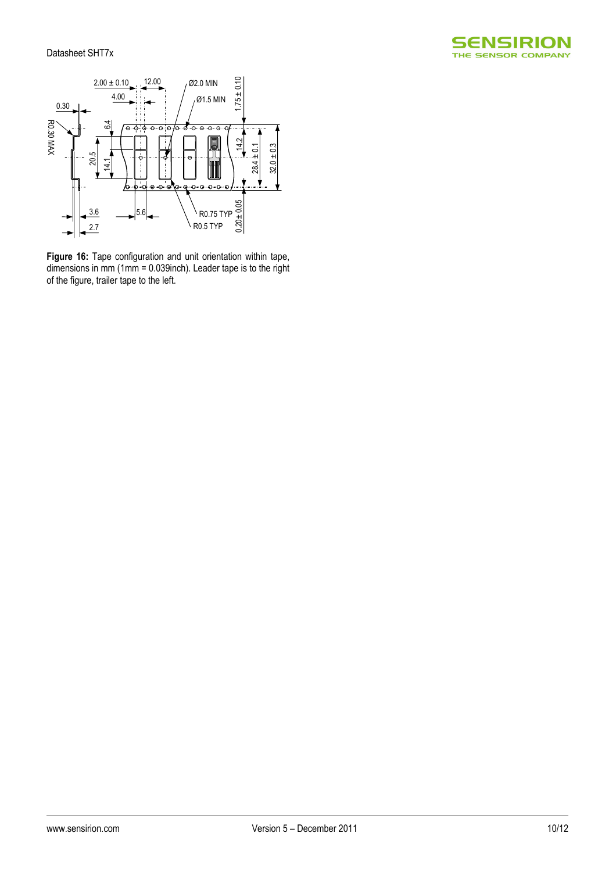



**Figure 16:** Tape configuration and unit orientation within tape, dimensions in mm (1mm = 0.039inch). Leader tape is to the right of the figure, trailer tape to the left.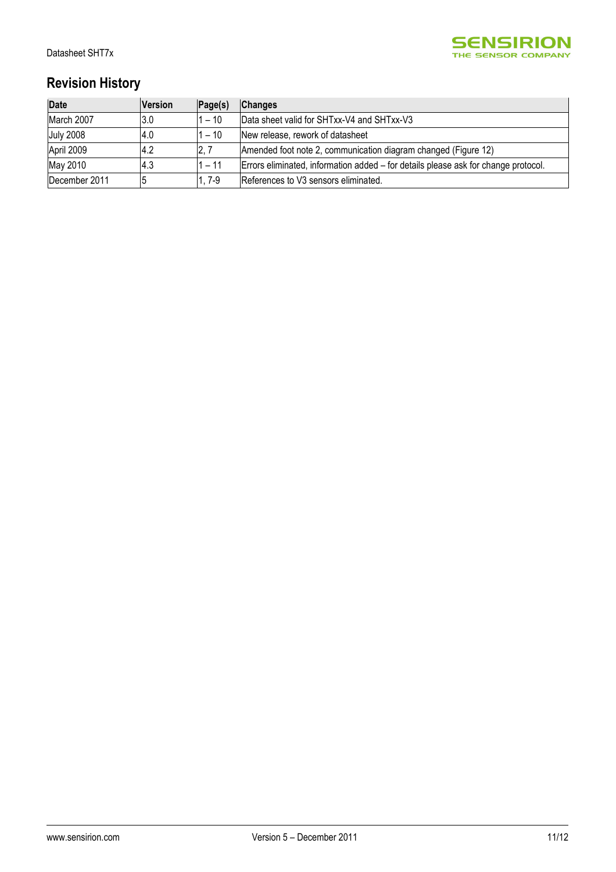# **Revision History**

| <b>Date</b>      | <b>Version</b> | Page(s) | <b>Changes</b>                                                                     |
|------------------|----------------|---------|------------------------------------------------------------------------------------|
| March 2007       | 3.0            | i – 10  | Data sheet valid for SHTxx-V4 and SHTxx-V3                                         |
| <b>July 2008</b> | 4.0            | l – 10  | New release, rework of datasheet                                                   |
| April 2009       | 4.2            | 2, 7    | Amended foot note 2, communication diagram changed (Figure 12)                     |
| May 2010         | 4.3            | $-11$   | Errors eliminated, information added – for details please ask for change protocol. |
| December 2011    |                | ., 7-9  | References to V3 sensors eliminated.                                               |